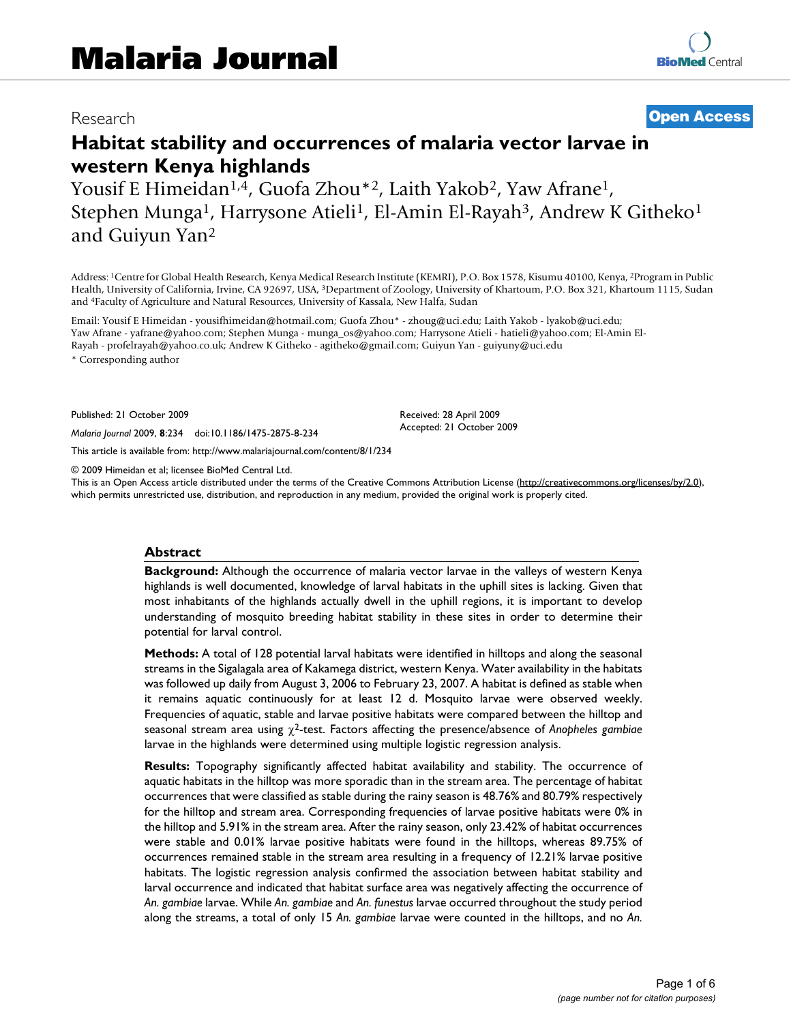# Research **[Open Access](http://www.biomedcentral.com/info/about/charter/)**

# **Habitat stability and occurrences of malaria vector larvae in western Kenya highlands**

Yousif E Himeidan<sup>1,4</sup>, Guofa Zhou<sup>\*2</sup>, Laith Yakob<sup>2</sup>, Yaw Afrane<sup>1</sup>, Stephen Munga<sup>1</sup>, Harrysone Atieli<sup>1</sup>, El-Amin El-Rayah<sup>3</sup>, Andrew K Githeko<sup>1</sup> and Guiyun Yan2

Address: 1Centre for Global Health Research, Kenya Medical Research Institute (KEMRI), P.O. Box 1578, Kisumu 40100, Kenya, 2Program in Public Health, University of California, Irvine, CA 92697, USA, 3Department of Zoology, University of Khartoum, P.O. Box 321, Khartoum 1115, Sudan and 4Faculty of Agriculture and Natural Resources, University of Kassala, New Halfa, Sudan

Email: Yousif E Himeidan - yousifhimeidan@hotmail.com; Guofa Zhou\* - zhoug@uci.edu; Laith Yakob - lyakob@uci.edu; Yaw Afrane - yafrane@yahoo.com; Stephen Munga - munga\_os@yahoo.com; Harrysone Atieli - hatieli@yahoo.com; El-Amin El-Rayah - profelrayah@yahoo.co.uk; Andrew K Githeko - agitheko@gmail.com; Guiyun Yan - guiyuny@uci.edu

\* Corresponding author

Published: 21 October 2009

*Malaria Journal* 2009, **8**:234 doi:10.1186/1475-2875-8-234

[This article is available from: http://www.malariajournal.com/content/8/1/234](http://www.malariajournal.com/content/8/1/234)

© 2009 Himeidan et al; licensee BioMed Central Ltd.

This is an Open Access article distributed under the terms of the Creative Commons Attribution License [\(http://creativecommons.org/licenses/by/2.0\)](http://creativecommons.org/licenses/by/2.0), which permits unrestricted use, distribution, and reproduction in any medium, provided the original work is properly cited.

Received: 28 April 2009 Accepted: 21 October 2009

### **Abstract**

**Background:** Although the occurrence of malaria vector larvae in the valleys of western Kenya highlands is well documented, knowledge of larval habitats in the uphill sites is lacking. Given that most inhabitants of the highlands actually dwell in the uphill regions, it is important to develop understanding of mosquito breeding habitat stability in these sites in order to determine their potential for larval control.

**Methods:** A total of 128 potential larval habitats were identified in hilltops and along the seasonal streams in the Sigalagala area of Kakamega district, western Kenya. Water availability in the habitats was followed up daily from August 3, 2006 to February 23, 2007. A habitat is defined as stable when it remains aquatic continuously for at least 12 d. Mosquito larvae were observed weekly. Frequencies of aquatic, stable and larvae positive habitats were compared between the hilltop and seasonal stream area using 2-test. Factors affecting the presence/absence of *Anopheles gambiae* larvae in the highlands were determined using multiple logistic regression analysis.

**Results:** Topography significantly affected habitat availability and stability. The occurrence of aquatic habitats in the hilltop was more sporadic than in the stream area. The percentage of habitat occurrences that were classified as stable during the rainy season is 48.76% and 80.79% respectively for the hilltop and stream area. Corresponding frequencies of larvae positive habitats were 0% in the hilltop and 5.91% in the stream area. After the rainy season, only 23.42% of habitat occurrences were stable and 0.01% larvae positive habitats were found in the hilltops, whereas 89.75% of occurrences remained stable in the stream area resulting in a frequency of 12.21% larvae positive habitats. The logistic regression analysis confirmed the association between habitat stability and larval occurrence and indicated that habitat surface area was negatively affecting the occurrence of *An. gambiae* larvae. While *An. gambiae* and *An. funestus* larvae occurred throughout the study period along the streams, a total of only 15 *An. gambiae* larvae were counted in the hilltops, and no *An.*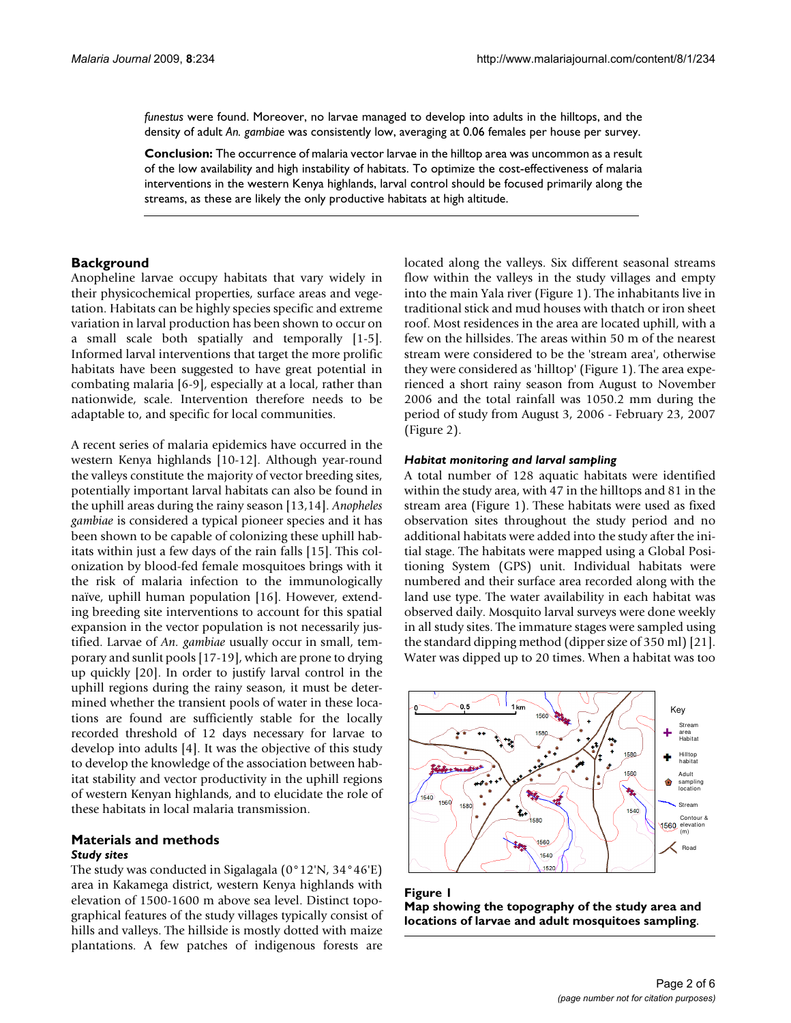*funestus* were found. Moreover, no larvae managed to develop into adults in the hilltops, and the density of adult *An. gambiae* was consistently low, averaging at 0.06 females per house per survey.

**Conclusion:** The occurrence of malaria vector larvae in the hilltop area was uncommon as a result of the low availability and high instability of habitats. To optimize the cost-effectiveness of malaria interventions in the western Kenya highlands, larval control should be focused primarily along the streams, as these are likely the only productive habitats at high altitude.

# **Background**

Anopheline larvae occupy habitats that vary widely in their physicochemical properties, surface areas and vegetation. Habitats can be highly species specific and extreme variation in larval production has been shown to occur on a small scale both spatially and temporally [1-[5](#page-5-0)]. Informed larval interventions that target the more prolific habitats have been suggested to have great potential in combating malaria [6-9], especially at a local, rather than nationwide, scale. Intervention therefore needs to be adaptable to, and specific for local communities.

A recent series of malaria epidemics have occurred in the western Kenya highlands [10-12]. Although year-round the valleys constitute the majority of vector breeding sites, potentially important larval habitats can also be found in the uphill areas during the rainy season [13,14]. *Anopheles gambiae* is considered a typical pioneer species and it has been shown to be capable of colonizing these uphill habitats within just a few days of the rain falls [15]. This colonization by blood-fed female mosquitoes brings with it the risk of malaria infection to the immunologically naïve, uphill human population [16]. However, extending breeding site interventions to account for this spatial expansion in the vector population is not necessarily justified. Larvae of *An. gambiae* usually occur in small, temporary and sunlit pools [17-19], which are prone to drying up quickly [20]. In order to justify larval control in the uphill regions during the rainy season, it must be determined whether the transient pools of water in these locations are found are sufficiently stable for the locally recorded threshold of 12 days necessary for larvae to develop into adults [4]. It was the objective of this study to develop the knowledge of the association between habitat stability and vector productivity in the uphill regions of western Kenyan highlands, and to elucidate the role of these habitats in local malaria transmission.

#### **Materials and methods** *Study sites*

The study was conducted in Sigalagala (0°12'N, 34°46'E) area in Kakamega district, western Kenya highlands with elevation of 1500-1600 m above sea level. Distinct topographical features of the study villages typically consist of hills and valleys. The hillside is mostly dotted with maize plantations. A few patches of indigenous forests are located along the valleys. Six different seasonal streams flow within the valleys in the study villages and empty into the main Yala river (Figure 1). The inhabitants live in traditional stick and mud houses with thatch or iron sheet roof. Most residences in the area are located uphill, with a few on the hillsides. The areas within 50 m of the nearest stream were considered to be the 'stream area', otherwise they were considered as 'hilltop' (Figure 1). The area experienced a short rainy season from August to November 2006 and the total rainfall was 1050.2 mm during the period of study from August 3, 2006 - February 23, 2007 (Figure 2).

# *Habitat monitoring and larval sampling*

A total number of 128 aquatic habitats were identified within the study area, with 47 in the hilltops and 81 in the stream area (Figure 1). These habitats were used as fixed observation sites throughout the study period and no additional habitats were added into the study after the initial stage. The habitats were mapped using a Global Positioning System (GPS) unit. Individual habitats were numbered and their surface area recorded along with the land use type. The water availability in each habitat was observed daily. Mosquito larval surveys were done weekly in all study sites. The immature stages were sampled using the standard dipping method (dipper size of 350 ml) [21]. Water was dipped up to 20 times. When a habitat was too



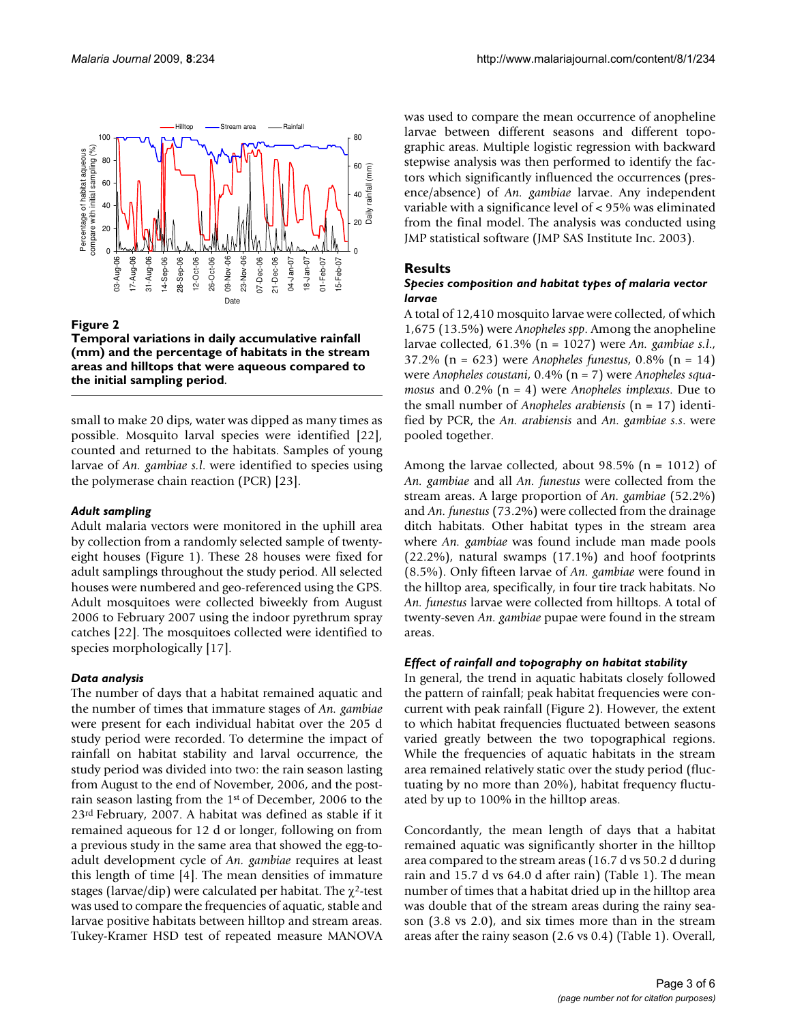

#### Figure 2

**Temporal variations in daily accumulative rainfall (mm) and the percentage of habitats in the stream areas and hilltops that were aqueous compared to the initial sampling period**.

small to make 20 dips, water was dipped as many times as possible. Mosquito larval species were identified [22], counted and returned to the habitats. Samples of young larvae of *An. gambiae s.l*. were identified to species using the polymerase chain reaction (PCR) [\[23](#page-5-1)].

#### *Adult sampling*

Adult malaria vectors were monitored in the uphill area by collection from a randomly selected sample of twentyeight houses (Figure 1). These 28 houses were fixed for adult samplings throughout the study period. All selected houses were numbered and geo-referenced using the GPS. Adult mosquitoes were collected biweekly from August 2006 to February 2007 using the indoor pyrethrum spray catches [22]. The mosquitoes collected were identified to species morphologically [17].

#### *Data analysis*

The number of days that a habitat remained aquatic and the number of times that immature stages of *An. gambiae* were present for each individual habitat over the 205 d study period were recorded. To determine the impact of rainfall on habitat stability and larval occurrence, the study period was divided into two: the rain season lasting from August to the end of November, 2006, and the postrain season lasting from the 1st of December, 2006 to the 23rd February, 2007. A habitat was defined as stable if it remained aqueous for 12 d or longer, following on from a previous study in the same area that showed the egg-toadult development cycle of *An. gambiae* requires at least this length of time [4]. The mean densities of immature stages (larvae/dip) were calculated per habitat. The  $\chi^2$ -test was used to compare the frequencies of aquatic, stable and larvae positive habitats between hilltop and stream areas. Tukey-Kramer HSD test of repeated measure MANOVA was used to compare the mean occurrence of anopheline larvae between different seasons and different topographic areas. Multiple logistic regression with backward stepwise analysis was then performed to identify the factors which significantly influenced the occurrences (presence/absence) of *An. gambiae* larvae. Any independent variable with a significance level of < 95% was eliminated from the final model. The analysis was conducted using JMP statistical software (JMP SAS Institute Inc. 2003).

#### **Results**

#### *Species composition and habitat types of malaria vector larvae*

A total of 12,410 mosquito larvae were collected, of which 1,675 (13.5%) were *Anopheles spp*. Among the anopheline larvae collected, 61.3% (n = 1027) were *An. gambiae s.l*., 37.2% (n = 623) were *Anopheles funestus*, 0.8% (n = 14) were *Anopheles coustani*, 0.4% (n = 7) were *Anopheles squamosus* and 0.2% (n = 4) were *Anopheles implexus*. Due to the small number of *Anopheles arabiensis* (n = 17) identified by PCR, the *An. arabiensis* and *An. gambiae s.s*. were pooled together.

Among the larvae collected, about  $98.5\%$  (n = 1012) of *An. gambiae* and all *An. funestus* were collected from the stream areas. A large proportion of *An. gambiae* (52.2%) and *An. funestus* (73.2%) were collected from the drainage ditch habitats. Other habitat types in the stream area where *An. gambiae* was found include man made pools (22.2%), natural swamps (17.1%) and hoof footprints (8.5%). Only fifteen larvae of *An. gambiae* were found in the hilltop area, specifically, in four tire track habitats. No *An. funestus* larvae were collected from hilltops. A total of twenty-seven *An. gambiae* pupae were found in the stream areas.

#### *Effect of rainfall and topography on habitat stability*

In general, the trend in aquatic habitats closely followed the pattern of rainfall; peak habitat frequencies were concurrent with peak rainfall (Figure 2). However, the extent to which habitat frequencies fluctuated between seasons varied greatly between the two topographical regions. While the frequencies of aquatic habitats in the stream area remained relatively static over the study period (fluctuating by no more than 20%), habitat frequency fluctuated by up to 100% in the hilltop areas.

Concordantly, the mean length of days that a habitat remained aquatic was significantly shorter in the hilltop area compared to the stream areas (16.7 d vs 50.2 d during rain and 15.7 d vs 64.0 d after rain) (Table 1). The mean number of times that a habitat dried up in the hilltop area was double that of the stream areas during the rainy season (3.8 vs 2.0), and six times more than in the stream areas after the rainy season (2.6 vs 0.4) (Table 1). Overall,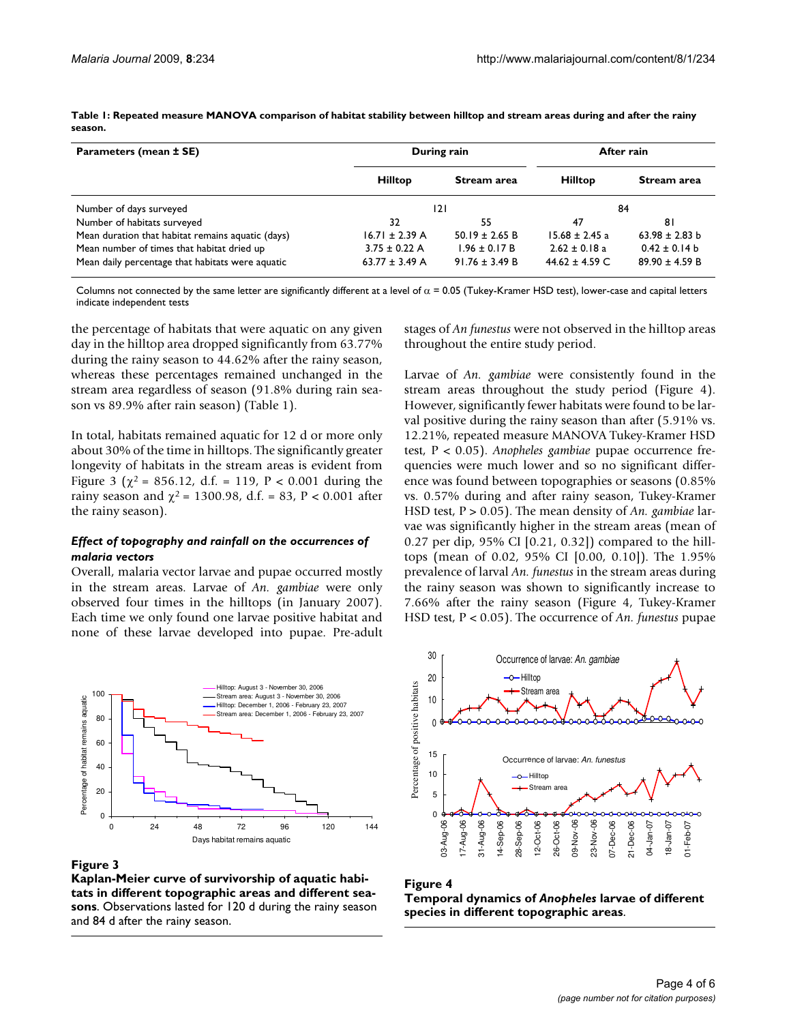**Parameters (mean ± SE) During rain During rain After rain Hilltop Stream area Hilltop Stream area** Number of days surveyed and the set of the set of the set of the set of the set of the set of the set of the set of the set of the set of the set of the set of the set of the set of the set of the set of the set of the set Number of habitats surveyed and the squatic (days) 32 55 55 47<br>Mean duration that habitat remains aquatic (days) 16.71 ± 2.39 A 50.19 ± 2.65 B 15.68 ± 2.45 a 63.98 ± 2.83 b Mean duration that habitat remains aquatic (days) Mean number of times that habitat dried up  $3.75 \pm 0.22$  A  $1.96 \pm 0.17$  B  $2.62 \pm 0.18$  a  $0.42 \pm 0.14$  b

**Table 1: Repeated measure MANOVA comparison of habitat stability between hilltop and stream areas during and after the rainy season.**

Columns not connected by the same letter are significantly different at a level of  $\alpha$  = 0.05 (Tukey-Kramer HSD test), lower-case and capital letters indicate independent tests

Mean daily percentage that habitats were aquatic  $63.77 \pm 3.49$  A 91.76  $\pm 3.49$  B  $44.62 \pm 4.59$  C  $89.90 \pm 4.59$  B

the percentage of habitats that were aquatic on any given day in the hilltop area dropped significantly from 63.77% during the rainy season to 44.62% after the rainy season, whereas these percentages remained unchanged in the stream area regardless of season (91.8% during rain season vs 89.9% after rain season) (Table 1).

In total, habitats remained aquatic for 12 d or more only about 30% of the time in hilltops. The significantly greater longevity of habitats in the stream areas is evident from Figure 3 ( $\chi^2$  = 856.12, d.f. = 119, P < 0.001 during the rainy season and  $\chi^2$  = 1300.98, d.f. = 83, P < 0.001 after the rainy season).

#### *Effect of topography and rainfall on the occurrences of malaria vectors*

Overall, malaria vector larvae and pupae occurred mostly in the stream areas. Larvae of *An. gambiae* were only observed four times in the hilltops (in January 2007). Each time we only found one larvae positive habitat and none of these larvae developed into pupae. Pre-adult stages of *An funestus* were not observed in the hilltop areas throughout the entire study period.

Larvae of *An. gambiae* were consistently found in the stream areas throughout the study period (Figure 4). However, significantly fewer habitats were found to be larval positive during the rainy season than after (5.91% vs. 12.21%, repeated measure MANOVA Tukey-Kramer HSD test, P < 0.05). *Anopheles gambiae* pupae occurrence frequencies were much lower and so no significant difference was found between topographies or seasons (0.85% vs. 0.57% during and after rainy season, Tukey-Kramer HSD test, P > 0.05). The mean density of *An. gambiae* larvae was significantly higher in the stream areas (mean of 0.27 per dip, 95% CI [0.21, 0.32]) compared to the hilltops (mean of 0.02, 95% CI [0.00, 0.10]). The 1.95% prevalence of larval *An. funestus* in the stream areas during the rainy season was shown to significantly increase to 7.66% after the rainy season (Figure 4, Tukey-Kramer HSD test, P < 0.05). The occurrence of *An. funestus* pupae



#### Figure 3

**Kaplan-Meier curve of survivorship of aquatic habitats in different topographic areas and different seasons**. Observations lasted for 120 d during the rainy season and 84 d after the rainy season.



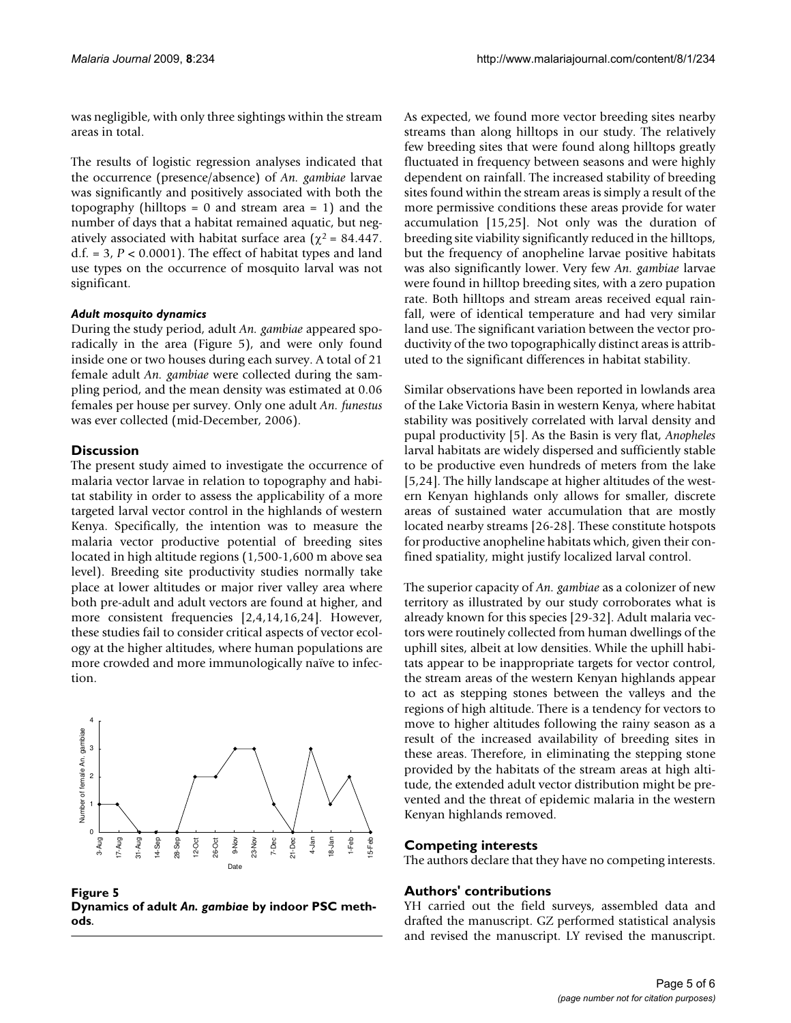was negligible, with only three sightings within the stream areas in total.

The results of logistic regression analyses indicated that the occurrence (presence/absence) of *An. gambiae* larvae was significantly and positively associated with both the topography (hilltops =  $0$  and stream area =  $1$ ) and the number of days that a habitat remained aquatic, but negatively associated with habitat surface area ( $\chi^2$  = 84.447. d.f.  $= 3, P < 0.0001$ ). The effect of habitat types and land use types on the occurrence of mosquito larval was not significant.

# *Adult mosquito dynamics*

During the study period, adult *An. gambiae* appeared sporadically in the area (Figure 5), and were only found inside one or two houses during each survey. A total of 21 female adult *An. gambiae* were collected during the sampling period, and the mean density was estimated at 0.06 females per house per survey. Only one adult *An. funestus* was ever collected (mid-December, 2006).

# **Discussion**

The present study aimed to investigate the occurrence of malaria vector larvae in relation to topography and habitat stability in order to assess the applicability of a more targeted larval vector control in the highlands of western Kenya. Specifically, the intention was to measure the malaria vector productive potential of breeding sites located in high altitude regions (1,500-1,600 m above sea level). Breeding site productivity studies normally take place at lower altitudes or major river valley area where both pre-adult and adult vectors are found at higher, and more consistent frequencies [2,4,14,16,24]. However, these studies fail to consider critical aspects of vector ecology at the higher altitudes, where human populations are more crowded and more immunologically naïve to infection.



**Figure 5 Dynamics of adult** *An. gambiae* **by indoor PSC methods**.

As expected, we found more vector breeding sites nearby streams than along hilltops in our study. The relatively few breeding sites that were found along hilltops greatly fluctuated in frequency between seasons and were highly dependent on rainfall. The increased stability of breeding sites found within the stream areas is simply a result of the more permissive conditions these areas provide for water accumulation [15,25]. Not only was the duration of breeding site viability significantly reduced in the hilltops, but the frequency of anopheline larvae positive habitats was also significantly lower. Very few *An. gambiae* larvae were found in hilltop breeding sites, with a zero pupation rate. Both hilltops and stream areas received equal rainfall, were of identical temperature and had very similar land use. The significant variation between the vector productivity of the two topographically distinct areas is attributed to the significant differences in habitat stability.

Similar observations have been reported in lowlands area of the Lake Victoria Basin in western Kenya, where habitat stability was positively correlated with larval density and pupal productivity [[5](#page-5-0)]. As the Basin is very flat, *Anopheles* larval habitats are widely dispersed and sufficiently stable to be productive even hundreds of meters from the lake [[5,](#page-5-0)24]. The hilly landscape at higher altitudes of the western Kenyan highlands only allows for smaller, discrete areas of sustained water accumulation that are mostly located nearby streams [26-28]. These constitute hotspots for productive anopheline habitats which, given their confined spatiality, might justify localized larval control.

The superior capacity of *An. gambiae* as a colonizer of new territory as illustrated by our study corroborates what is already known for this species [29-32]. Adult malaria vectors were routinely collected from human dwellings of the uphill sites, albeit at low densities. While the uphill habitats appear to be inappropriate targets for vector control, the stream areas of the western Kenyan highlands appear to act as stepping stones between the valleys and the regions of high altitude. There is a tendency for vectors to move to higher altitudes following the rainy season as a result of the increased availability of breeding sites in these areas. Therefore, in eliminating the stepping stone provided by the habitats of the stream areas at high altitude, the extended adult vector distribution might be prevented and the threat of epidemic malaria in the western Kenyan highlands removed.

# **Competing interests**

The authors declare that they have no competing interests.

# **Authors' contributions**

YH carried out the field surveys, assembled data and drafted the manuscript. GZ performed statistical analysis and revised the manuscript. LY revised the manuscript.